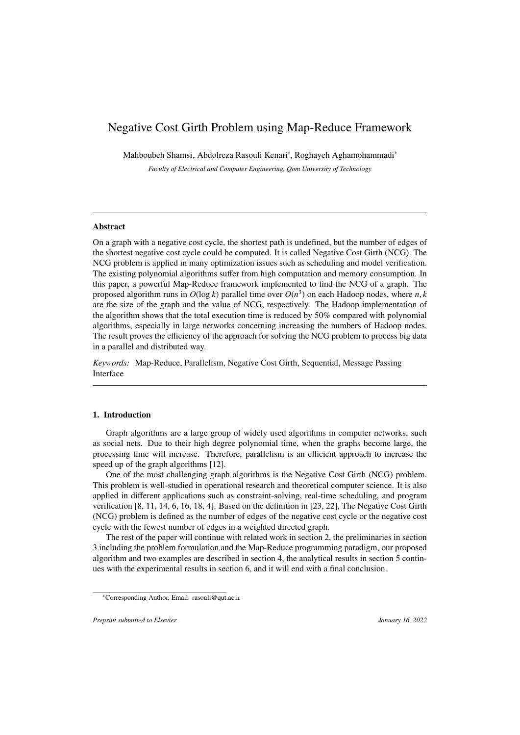# Negative Cost Girth Problem using Map-Reduce Framework

Mahboubeh Shamsi, Abdolreza Rasouli Kenari<sup>∗</sup> , Roghayeh Aghamohammadi<sup>∗</sup>

*Faculty of Electrical and Computer Engineering, Qom University of Technology*

#### Abstract

On a graph with a negative cost cycle, the shortest path is undefined, but the number of edges of the shortest negative cost cycle could be computed. It is called Negative Cost Girth (NCG). The NCG problem is applied in many optimization issues such as scheduling and model verification. The existing polynomial algorithms suffer from high computation and memory consumption. In this paper, a powerful Map-Reduce framework implemented to find the NCG of a graph. The proposed algorithm runs in  $O(\log k)$  parallel time over  $O(n^3)$  on each Hadoop nodes, where *n*, *k* are the size of the graph and the value of NCG respectively. The Hadoop implementation of are the size of the graph and the value of NCG, respectively. The Hadoop implementation of the algorithm shows that the total execution time is reduced by 50% compared with polynomial algorithms, especially in large networks concerning increasing the numbers of Hadoop nodes. The result proves the efficiency of the approach for solving the NCG problem to process big data in a parallel and distributed way.

*Keywords:* Map-Reduce, Parallelism, Negative Cost Girth, Sequential, Message Passing Interface

## 1. Introduction

Graph algorithms are a large group of widely used algorithms in computer networks, such as social nets. Due to their high degree polynomial time, when the graphs become large, the processing time will increase. Therefore, parallelism is an efficient approach to increase the speed up of the graph algorithms [12].

One of the most challenging graph algorithms is the Negative Cost Girth (NCG) problem. This problem is well-studied in operational research and theoretical computer science. It is also applied in different applications such as constraint-solving, real-time scheduling, and program verification [8, 11, 14, 6, 16, 18, 4]. Based on the definition in [23, 22], The Negative Cost Girth (NCG) problem is defined as the number of edges of the negative cost cycle or the negative cost cycle with the fewest number of edges in a weighted directed graph.

The rest of the paper will continue with related work in section 2, the preliminaries in section 3 including the problem formulation and the Map-Reduce programming paradigm, our proposed algorithm and two examples are described in section 4, the analytical results in section 5 continues with the experimental results in section 6, and it will end with a final conclusion.

*Preprint submitted to Elsevier January 16, 2022* 

<sup>∗</sup>Corresponding Author, Email: rasouli@qut.ac.ir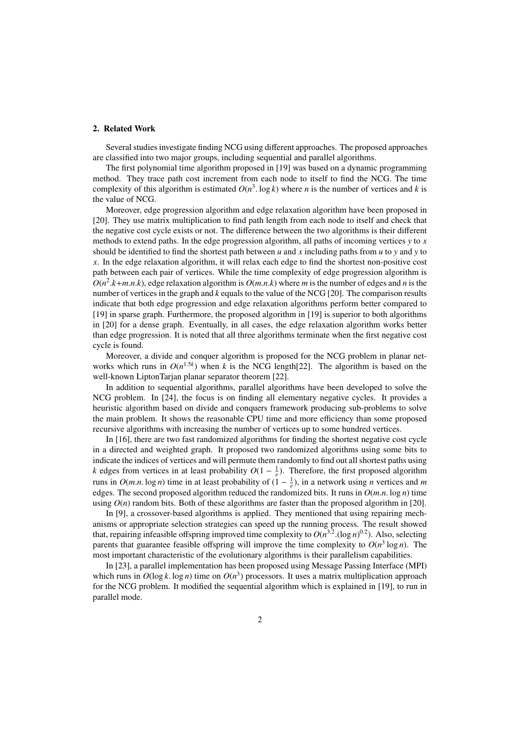#### 2. Related Work

Several studies investigate finding NCG using different approaches. The proposed approaches are classified into two major groups, including sequential and parallel algorithms.

The first polynomial time algorithm proposed in [19] was based on a dynamic programming method. They trace path cost increment from each node to itself to find the NCG. The time complexity of this algorithm is estimated  $O(n^3 \cdot \log k)$  where *n* is the number of vertices and *k* is the value of NCG the value of NCG.

Moreover, edge progression algorithm and edge relaxation algorithm have been proposed in [20]. They use matrix multiplication to find path length from each node to itself and check that the negative cost cycle exists or not. The difference between the two algorithms is their different methods to extend paths. In the edge progression algorithm, all paths of incoming vertices *y* to *x* should be identified to find the shortest path between *u* and *x* including paths from *u* to *y* and *y* to *x*. In the edge relaxation algorithm, it will relax each edge to find the shortest non-positive cost path between each pair of vertices. While the time complexity of edge progression algorithm is  $O(n^2 \cdot k + m \cdot n \cdot k)$ , edge relaxation algorithm is  $O(m \cdot n \cdot k)$  where *m* is the number of edges and *n* is the number of vertices in the graph and *k* equals to the value of the NCG [20]. The comparison results number of vertices in the graph and *k* equals to the value of the NCG [20]. The comparison results indicate that both edge progression and edge relaxation algorithms perform better compared to [19] in sparse graph. Furthermore, the proposed algorithm in [19] is superior to both algorithms in [20] for a dense graph. Eventually, in all cases, the edge relaxation algorithm works better than edge progression. It is noted that all three algorithms terminate when the first negative cost cycle is found.

Moreover, a divide and conquer algorithm is proposed for the NCG problem in planar networks which runs in  $O(n^{1.5k})$  when *k* is the NCG length[22]. The algorithm is based on the well-known LiptonTarjan planar separator theorem [22].

In addition to sequential algorithms, parallel algorithms have been developed to solve the NCG problem. In [24], the focus is on finding all elementary negative cycles. It provides a heuristic algorithm based on divide and conquers framework producing sub-problems to solve the main problem. It shows the reasonable CPU time and more efficiency than some proposed recursive algorithms with increasing the number of vertices up to some hundred vertices.

In [16], there are two fast randomized algorithms for finding the shortest negative cost cycle in a directed and weighted graph. It proposed two randomized algorithms using some bits to indicate the indices of vertices and will permute them randomly to find out all shortest paths using *k* edges from vertices in at least probability  $O(1 - \frac{1}{e})$ . Therefore, the first proposed algorithm runs in  $O(m.n. \log n)$  time in at least probability of  $(1 - \frac{1}{e})$ , in a network using *n* vertices and *m* edges. The second proposed algorithm reduced the randomized bits. It runs in  $O(m n \log n)$  time edges. The second proposed algorithm reduced the randomized bits. It runs in *<sup>O</sup>*(*m*.*n*. log *<sup>n</sup>*) time using  $O(n)$  random bits. Both of these algorithms are faster than the proposed algorithm in [20].

In [9], a crossover-based algorithms is applied. They mentioned that using repairing mechanisms or appropriate selection strategies can speed up the running process. The result showed that, repairing infeasible offspring improved time complexity to  $O(n^{3.2} \cdot (\log n)^{0.2})$ . Also, selecting parents that quarantee feasible offspring will improve the time complexity to  $O(n^3 \log n)$ . The parents that guarantee feasible offspring will improve the time complexity to  $O(n^3 \log n)$ . The most important characteristic of the evolutionary algorithms is their parallelism capabilities.

In [23], a parallel implementation has been proposed using Message Passing Interface (MPI) which runs in  $O(\log k \cdot \log n)$  time on  $O(n^3)$  processors. It uses a matrix multiplication approach for the NCG problem. It modified the sequential algorithm which is explained in [19] to run in for the NCG problem. It modified the sequential algorithm which is explained in [19], to run in parallel mode.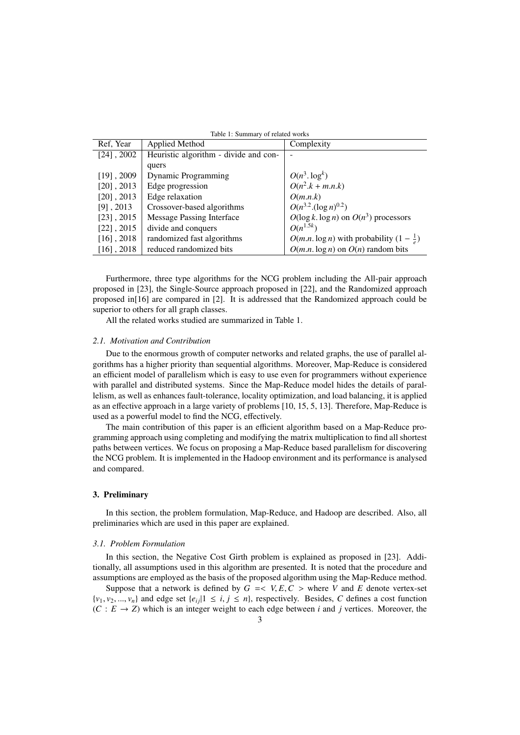|  | Table 1: Summary of related works |
|--|-----------------------------------|
|--|-----------------------------------|

| Ref, Year     | Applied Method                        | Complexity                                         |
|---------------|---------------------------------------|----------------------------------------------------|
| $[24]$ , 2002 | Heuristic algorithm - divide and con- |                                                    |
|               | quers                                 |                                                    |
| $[19]$ , 2009 | <b>Dynamic Programming</b>            | $O(n^3.\log^k)$                                    |
| $[20]$ , 2013 | Edge progression                      | $O(n^2.k + m.n.k)$                                 |
| $[20]$ , 2013 | Edge relaxation                       | O(m.n.k)                                           |
| $[9]$ , 2013  | Crossover-based algorithms            | $O(n^{3.2} \cdot (\log n)^{0.2})$                  |
| $[23]$ , 2015 | <b>Message Passing Interface</b>      | $O(\log k \cdot \log n)$ on $O(n^3)$ processors    |
| $[22]$ , 2015 | divide and conquers                   | $O(n^{1.5k})$                                      |
| $[16]$ , 2018 | randomized fast algorithms            | $O(m.n.\log n)$ with probability $(1-\frac{1}{e})$ |
| $[16]$ , 2018 | reduced randomized bits               | $O(m.n.\log n)$ on $O(n)$ random bits              |
|               |                                       |                                                    |

Furthermore, three type algorithms for the NCG problem including the All-pair approach proposed in [23], the Single-Source approach proposed in [22], and the Randomized approach proposed in[16] are compared in [2]. It is addressed that the Randomized approach could be superior to others for all graph classes.

All the related works studied are summarized in Table 1.

# *2.1. Motivation and Contribution*

Due to the enormous growth of computer networks and related graphs, the use of parallel algorithms has a higher priority than sequential algorithms. Moreover, Map-Reduce is considered an efficient model of parallelism which is easy to use even for programmers without experience with parallel and distributed systems. Since the Map-Reduce model hides the details of parallelism, as well as enhances fault-tolerance, locality optimization, and load balancing, it is applied as an effective approach in a large variety of problems [10, 15, 5, 13]. Therefore, Map-Reduce is used as a powerful model to find the NCG, effectively.

The main contribution of this paper is an efficient algorithm based on a Map-Reduce programming approach using completing and modifying the matrix multiplication to find all shortest paths between vertices. We focus on proposing a Map-Reduce based parallelism for discovering the NCG problem. It is implemented in the Hadoop environment and its performance is analysed and compared.

#### 3. Preliminary

In this section, the problem formulation, Map-Reduce, and Hadoop are described. Also, all preliminaries which are used in this paper are explained.

#### *3.1. Problem Formulation*

In this section, the Negative Cost Girth problem is explained as proposed in [23]. Additionally, all assumptions used in this algorithm are presented. It is noted that the procedure and assumptions are employed as the basis of the proposed algorithm using the Map-Reduce method.

Suppose that a network is defined by  $G = < V, E, C >$  where V and E denote vertex-set  $\{v_1, v_2, ..., v_n\}$  and edge set  $\{e_i, |1 \le i, j \le n\}$ , respectively. Besides, *C* defines a cost function  $(C : E \rightarrow Z)$  which is an integer weight to each edge between *i* and *j* vertices. Moreover, the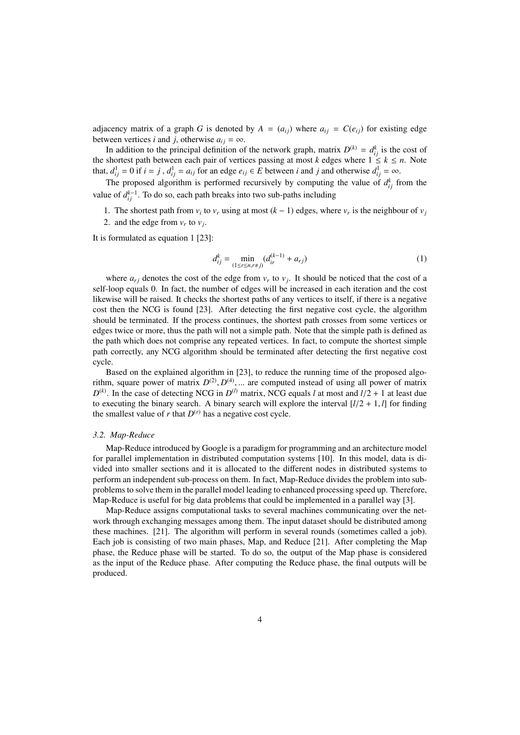adjacency matrix of a graph *G* is denoted by  $A = (a_{ij})$  where  $a_{ij} = C(e_{ij})$  for existing edge between vertices *i* and *j*, otherwise  $a_{ij} = \infty$ .

In addition to the principal definition of the network graph, matrix  $D^{(k)} = d_{ij}^k$  is the cost of the shortest path between each pair of vertices passing at most *k* edges where  $1 \leq k \leq n$ . Note that,  $d_{ij}^1 = 0$  if  $i = j$ ,  $d_{ij}^1 = a_{ij}$  for an edge  $e_{ij} \in E$  between *i* and *j* and otherwise  $d_{ij}^1 = \infty$ .

The proposed algorithm is performed recursively by computing the value of  $d_{ij}^k$  from the value of  $d_{ij}^{k-1}$ . To do so, each path breaks into two sub-paths including

1. The shortest path from  $v_i$  to  $v_r$  using at most  $(k - 1)$  edges, where  $v_r$  is the neighbour of  $v_j$ 

2. and the edge from  $v_r$  to  $v_j$ .

It is formulated as equation 1 [23]:

$$
d_{ij}^k = \min_{(1 \le r \le n, r \ne j)} (d_{ir}^{(k-1)} + a_{rj})
$$
\n(1)

where  $a_{rj}$  denotes the cost of the edge from  $v_r$  to  $v_j$ . It should be noticed that the cost of a self-loop equals 0. In fact, the number of edges will be increased in each iteration and the cost likewise will be raised. It checks the shortest paths of any vertices to itself, if there is a negative cost then the NCG is found [23]. After detecting the first negative cost cycle, the algorithm should be terminated. If the process continues, the shortest path crosses from some vertices or edges twice or more, thus the path will not a simple path. Note that the simple path is defined as the path which does not comprise any repeated vertices. In fact, to compute the shortest simple path correctly, any NCG algorithm should be terminated after detecting the first negative cost cycle.

Based on the explained algorithm in [23], to reduce the running time of the proposed algorithm, square power of matrix  $D^{(2)}$ ,  $D^{(4)}$ , ... are computed instead of using all power of matrix  $D^{(k)}$ . In the case of detecting NCG in  $D^{(l)}$  matrix NCG equals *l* at most and  $l/2 + 1$  at least due  $D^{(k)}$ . In the case of detecting NCG in  $D^{(l)}$  matrix, NCG equals *l* at most and  $l/2 + 1$  at least due to executing the binary search. A binary search will explore the interval  $\left[\frac{l}{2} + 1, l\right]$  for finding the smallest value of  $r$  that  $D^{(r)}$  has a negative cost cycle.

#### *3.2. Map-Reduce*

Map-Reduce introduced by Google is a paradigm for programming and an architecture model for parallel implementation in distributed computation systems [10]. In this model, data is divided into smaller sections and it is allocated to the different nodes in distributed systems to perform an independent sub-process on them. In fact, Map-Reduce divides the problem into subproblems to solve them in the parallel model leading to enhanced processing speed up. Therefore, Map-Reduce is useful for big data problems that could be implemented in a parallel way [3].

Map-Reduce assigns computational tasks to several machines communicating over the network through exchanging messages among them. The input dataset should be distributed among these machines. [21]. The algorithm will perform in several rounds (sometimes called a job). Each job is consisting of two main phases, Map, and Reduce [21]. After completing the Map phase, the Reduce phase will be started. To do so, the output of the Map phase is considered as the input of the Reduce phase. After computing the Reduce phase, the final outputs will be produced.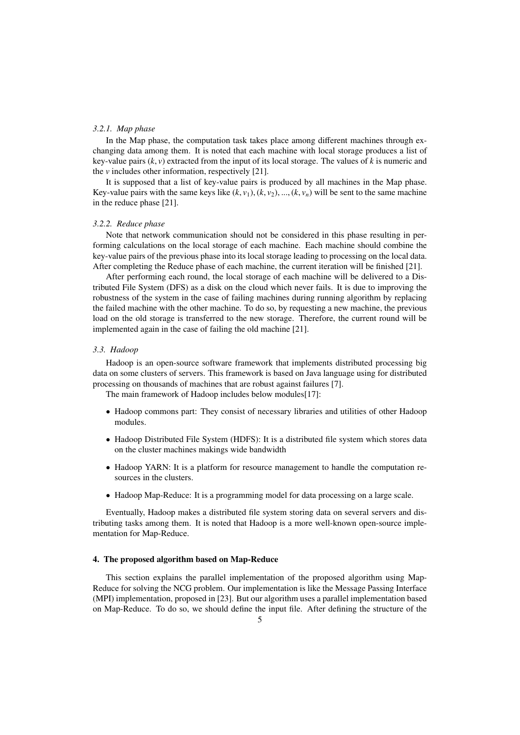#### *3.2.1. Map phase*

In the Map phase, the computation task takes place among different machines through exchanging data among them. It is noted that each machine with local storage produces a list of key-value pairs  $(k, v)$  extracted from the input of its local storage. The values of  $k$  is numeric and the *v* includes other information, respectively [21].

It is supposed that a list of key-value pairs is produced by all machines in the Map phase. Key-value pairs with the same keys like  $(k, v_1)$ ,  $(k, v_2)$ , ...,  $(k, v_n)$  will be sent to the same machine in the reduce phase [21].

# *3.2.2. Reduce phase*

Note that network communication should not be considered in this phase resulting in performing calculations on the local storage of each machine. Each machine should combine the key-value pairs of the previous phase into its local storage leading to processing on the local data. After completing the Reduce phase of each machine, the current iteration will be finished [21].

After performing each round, the local storage of each machine will be delivered to a Distributed File System (DFS) as a disk on the cloud which never fails. It is due to improving the robustness of the system in the case of failing machines during running algorithm by replacing the failed machine with the other machine. To do so, by requesting a new machine, the previous load on the old storage is transferred to the new storage. Therefore, the current round will be implemented again in the case of failing the old machine [21].

#### *3.3. Hadoop*

Hadoop is an open-source software framework that implements distributed processing big data on some clusters of servers. This framework is based on Java language using for distributed processing on thousands of machines that are robust against failures [7].

The main framework of Hadoop includes below modules[17]:

- Hadoop commons part: They consist of necessary libraries and utilities of other Hadoop modules.
- Hadoop Distributed File System (HDFS): It is a distributed file system which stores data on the cluster machines makings wide bandwidth
- Hadoop YARN: It is a platform for resource management to handle the computation resources in the clusters.
- Hadoop Map-Reduce: It is a programming model for data processing on a large scale.

Eventually, Hadoop makes a distributed file system storing data on several servers and distributing tasks among them. It is noted that Hadoop is a more well-known open-source implementation for Map-Reduce.

## 4. The proposed algorithm based on Map-Reduce

This section explains the parallel implementation of the proposed algorithm using Map-Reduce for solving the NCG problem. Our implementation is like the Message Passing Interface (MPI) implementation, proposed in [23]. But our algorithm uses a parallel implementation based on Map-Reduce. To do so, we should define the input file. After defining the structure of the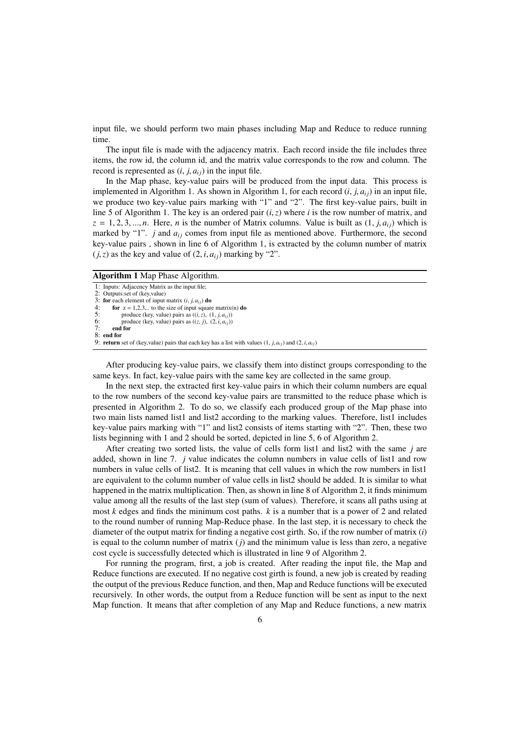input file, we should perform two main phases including Map and Reduce to reduce running time.

The input file is made with the adjacency matrix. Each record inside the file includes three items, the row id, the column id, and the matrix value corresponds to the row and column. The record is represented as  $(i, j, a_{ij})$  in the input file.

In the Map phase, key-value pairs will be produced from the input data. This process is implemented in Algorithm 1. As shown in Algorithm 1, for each record  $(i, j, a_{ij})$  in an input file, we produce two key-value pairs marking with "1" and "2". The first key-value pairs, built in line 5 of Algorithm 1. The key is an ordered pair (*i*,*z*) where *<sup>i</sup>* is the row number of matrix, and  $z = 1, 2, 3, \dots, n$ . Here, *n* is the number of Matrix columns. Value is built as  $(1, j, a_{ij})$  which is marked by "1".  $j$  and  $a_{ij}$  comes from input file as mentioned above. Furthermore, the second key-value pairs , shown in line 6 of Algorithm 1, is extracted by the column number of matrix  $(j, z)$  as the key and value of  $(2, i, a_{ij})$  marking by "2".

#### Algorithm 1 Map Phase Algorithm.

```
1: Inputs: Adjacency Matrix as the input file;<br>2: Outputs: set of (key value)
     Outputs:set of (key,value)
3: for each element of input matrix (i, j, a_{ij}) do<br>4. for z = 1.2.3 to the size of input square
4: for z = 1,2,3,.. to the size of input square matrix(n) do<br>5. produce (key value) pairs as ((i, z) (1, i, a))
5: produce (key, value) pairs as ((i, z), (1, j, a_{ij}))<br>6: produce (key value) pairs as ((z, i), (2, i, a_{ij}))produce (key, value) pairs as ((z, j), (2, i, a_{ij}))7: end for
8: end for<br>9: return
     return set of (key,value) pairs that each key has a list with values (1, j, a_{ij}) and (2, i, a_{ij})
```
After producing key-value pairs, we classify them into distinct groups corresponding to the same keys. In fact, key-value pairs with the same key are collected in the same group.

In the next step, the extracted first key-value pairs in which their column numbers are equal to the row numbers of the second key-value pairs are transmitted to the reduce phase which is presented in Algorithm 2. To do so, we classify each produced group of the Map phase into two main lists named list1 and list2 according to the marking values. Therefore, list1 includes key-value pairs marking with "1" and list2 consists of items starting with "2". Then, these two lists beginning with 1 and 2 should be sorted, depicted in line 5, 6 of Algorithm 2.

After creating two sorted lists, the value of cells form list1 and list2 with the same *j* are added, shown in line 7. *j* value indicates the column numbers in value cells of list1 and row numbers in value cells of list2. It is meaning that cell values in which the row numbers in list1 are equivalent to the column number of value cells in list2 should be added. It is similar to what happened in the matrix multiplication. Then, as shown in line 8 of Algorithm 2, it finds minimum value among all the results of the last step (sum of values). Therefore, it scans all paths using at most *k* edges and finds the minimum cost paths. *k* is a number that is a power of 2 and related to the round number of running Map-Reduce phase. In the last step, it is necessary to check the diameter of the output matrix for finding a negative cost girth. So, if the row number of matrix (*i*) is equal to the column number of matrix  $(j)$  and the minimum value is less than zero, a negative cost cycle is successfully detected which is illustrated in line 9 of Algorithm 2.

For running the program, first, a job is created. After reading the input file, the Map and Reduce functions are executed. If no negative cost girth is found, a new job is created by reading the output of the previous Reduce function, and then, Map and Reduce functions will be executed recursively. In other words, the output from a Reduce function will be sent as input to the next Map function. It means that after completion of any Map and Reduce functions, a new matrix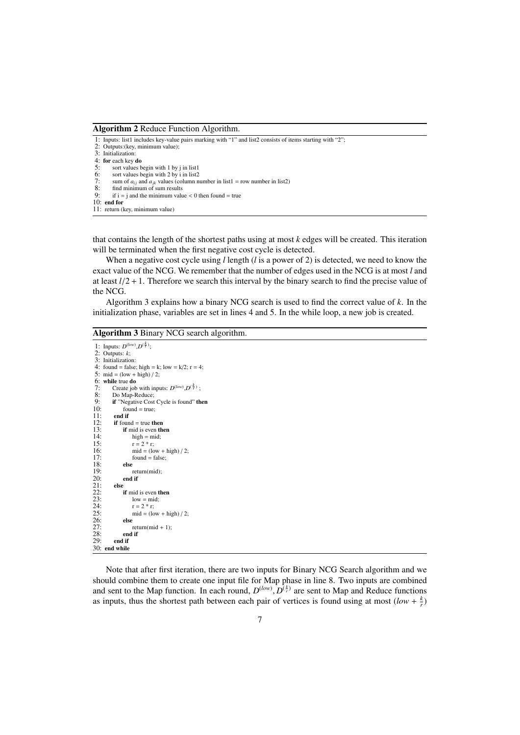Algorithm 2 Reduce Function Algorithm.

| 1: Inputs: list1 includes key-value pairs marking with "1" and list2 consists of items starting with "2"; |
|-----------------------------------------------------------------------------------------------------------|
| 2: Outputs: (key, minimum value);                                                                         |
| 3: Initialization:                                                                                        |
| 4: for each key do                                                                                        |
| 5:<br>sort values begin with 1 by j in list1                                                              |
| $rac{6}{7}$<br>sort values begin with 2 by i in list2                                                     |
| sum of $a_{ii}$ and $a_{ik}$ values (column number in list1 = row number in list2)                        |
| 8:<br>find minimum of sum results                                                                         |
| 9:<br>if $i = j$ and the minimum value $\lt 0$ then found $\lt 1$ true                                    |
| $10:$ end for                                                                                             |
| 11: return (key, minimum value)                                                                           |
|                                                                                                           |
|                                                                                                           |

that contains the length of the shortest paths using at most *k* edges will be created. This iteration will be terminated when the first negative cost cycle is detected.

When a negative cost cycle using *l* length (*l* is a power of 2) is detected, we need to know the exact value of the NCG. We remember that the number of edges used in the NCG is at most *l* and at least  $l/2 + 1$ . Therefore we search this interval by the binary search to find the precise value of the NCG.

Algorithm 3 explains how a binary NCG search is used to find the correct value of *k*. In the initialization phase, variables are set in lines 4 and 5. In the while loop, a new job is created.

# Algorithm 3 Binary NCG search algorithm.

```
1: Inputs: D^{(low)}, D^{(\frac{k}{r})};
 2: Outputs: k;
 3: Initialization:
 4: found = false; high = k; low = k/2; r = 4;
 5: mid = (low + high) / 2;
 6: while true do 7<sup>o</sup> Create job
 7: Create job with inputs: D^{(low)}, D^{(\frac{k}{r})};
 8: Do Map-Reduce;<br>9: if "Negative Cost"
9: if "Negative Cost Cycle is found" then<br>10: found = true;
10: found = true;<br>11: end if
11: end if 12: if foun
12: if found = true then<br>13: if mid is even th
13: if mid is even then<br>14: hiph = mid:
14: high = mid;<br>15: r = 2 * r;
15: r = 2 * r;<br>16: mid = (lo16: mid = (low + high) / 2;<br>17: found = false;
               found = false;<br>else
18: else
                    return(mid);
           end if<br>else
21: else
               if mid is even then
                    1ow = mid;r = 2 * r;25: mid = \frac{\text{mod}}{2} = (low + high) / 2;
26: else
27: return(mid + 1);<br>28: end if<br>29: end if
               end if
           end if
30: end while
```
Note that after first iteration, there are two inputs for Binary NCG Search algorithm and we should combine them to create one input file for Map phase in line 8. Two inputs are combined and sent to the Map function. In each round,  $D^{(low)}$ ,  $D^{(\frac{k}{r})}$  are sent to Map and Reduce functions as inputs, thus the shortest path between each pair of vertices is found using at most  $(\log k + k)$ as inputs, thus the shortest path between each pair of vertices is found using at most  $(low + \frac{k}{r})$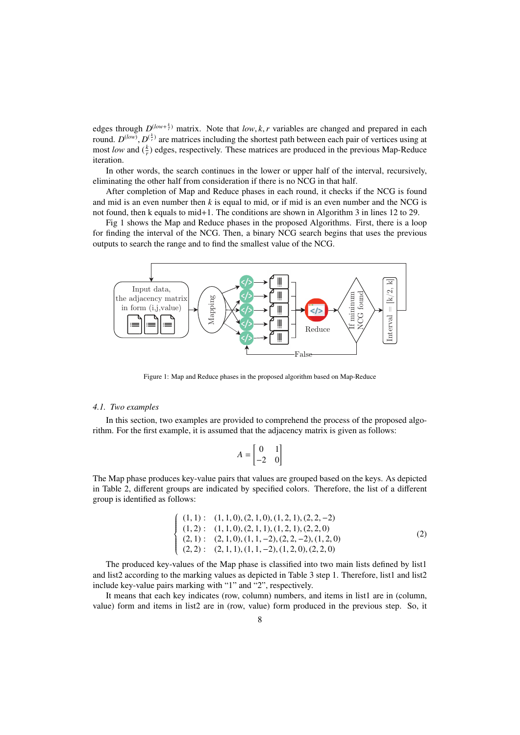edges through  $D^{(low+\frac{k}{2})}$  matrix. Note that *low*, *k*, *r* variables are changed and prepared in each round  $D^{(low)}$ .  $D^{(\frac{k}{2})}$  are matrices including the shortest path between each pair of vertices using at round.  $D^{(low)}$ ,  $D^{(\frac{k}{r})}$  are matrices including the shortest path between each pair of vertices using at most low and  $(\frac{k}{r})$  edges, respectively. These matrices are produced in the previous Man-Reduce most *low* and  $(\frac{k}{r})$  edges, respectively. These matrices are produced in the previous Map-Reduce iteration.

In other words, the search continues in the lower or upper half of the interval, recursively, eliminating the other half from consideration if there is no NCG in that half.

After completion of Map and Reduce phases in each round, it checks if the NCG is found and mid is an even number then *k* is equal to mid, or if mid is an even number and the NCG is not found, then k equals to mid+1. The conditions are shown in Algorithm 3 in lines 12 to 29.

Fig 1 shows the Map and Reduce phases in the proposed Algorithms. First, there is a loop for finding the interval of the NCG. Then, a binary NCG search begins that uses the previous outputs to search the range and to find the smallest value of the NCG.



Figure 1: Map and Reduce phases in the proposed algorithm based on Map-Reduce

## *4.1. Two examples*

In this section, two examples are provided to comprehend the process of the proposed algorithm. For the first example, it is assumed that the adjacency matrix is given as follows:

$$
A = \begin{bmatrix} 0 & 1 \\ -2 & 0 \end{bmatrix}
$$

The Map phase produces key-value pairs that values are grouped based on the keys. As depicted in Table 2, different groups are indicated by specified colors. Therefore, the list of a different group is identified as follows:

$$
\begin{cases}\n(1,1): (1,1,0), (2,1,0), (1,2,1), (2,2,-2) \\
(1,2): (1,1,0), (2,1,1), (1,2,1), (2,2,0) \\
(2,1): (2,1,0), (1,1,-2), (2,2,-2), (1,2,0) \\
(2,2): (2,1,1), (1,1,-2), (1,2,0), (2,2,0)\n\end{cases}
$$
\n(2)

The produced key-values of the Map phase is classified into two main lists defined by list1 and list2 according to the marking values as depicted in Table 3 step 1. Therefore, list1 and list2 include key-value pairs marking with "1" and "2", respectively.

It means that each key indicates (row, column) numbers, and items in list1 are in (column, value) form and items in list2 are in (row, value) form produced in the previous step. So, it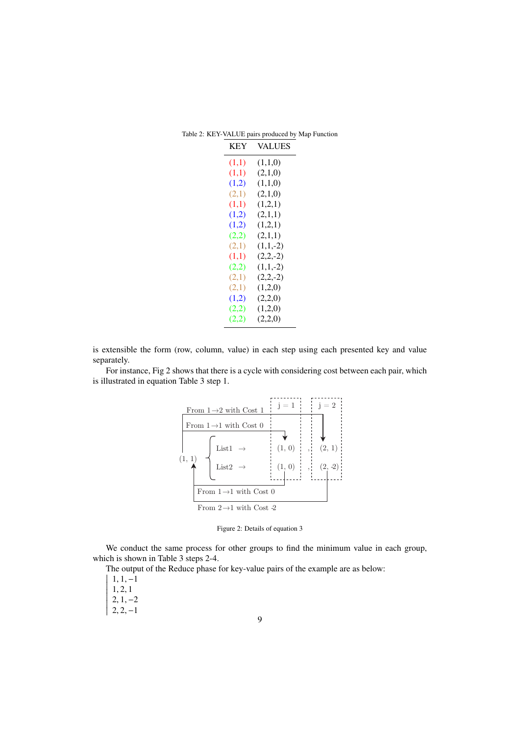| <b>KEY</b> | VALUES     |
|------------|------------|
| (1,1)      | (1,1,0)    |
| (1,1)      | (2,1,0)    |
| (1,2)      | (1,1,0)    |
| (2,1)      | (2,1,0)    |
| (1,1)      | (1,2,1)    |
| (1,2)      | (2,1,1)    |
| (1,2)      | (1,2,1)    |
| (2,2)      | (2,1,1)    |
| (2,1)      | $(1,1,-2)$ |
| (1,1)      | $(2,2,-2)$ |
| (2,2)      | $(1,1,-2)$ |
| (2,1)      | $(2,2,-2)$ |
| (2,1)      | (1,2,0)    |
| (1,2)      | (2,2,0)    |
| (2,2)      | (1,2,0)    |
| (2,2)      | (2,2,0)    |

Table 2: KEY-VALUE pairs produced by Map Function

is extensible the form (row, column, value) in each step using each presented key and value separately.

For instance, Fig 2 shows that there is a cycle with considering cost between each pair, which is illustrated in equation Table 3 step 1.



Figure 2: Details of equation 3

 which is shown in Table 3 steps 2-4. We conduct the same process for other groups to find the minimum value in each group,

The output of the Reduce phase for key-value pairs of the example are as below:

<sup>1</sup>, <sup>1</sup>, <sup>−</sup><sup>1</sup> <sup>1</sup>, <sup>2</sup>, <sup>1</sup>

 $\overline{\mathsf{I}}$ I I I I I I

- <sup>2</sup>, <sup>1</sup>, <sup>−</sup><sup>2</sup>
- I I ┆  $\mathsf{I}$  $2, 2, -1$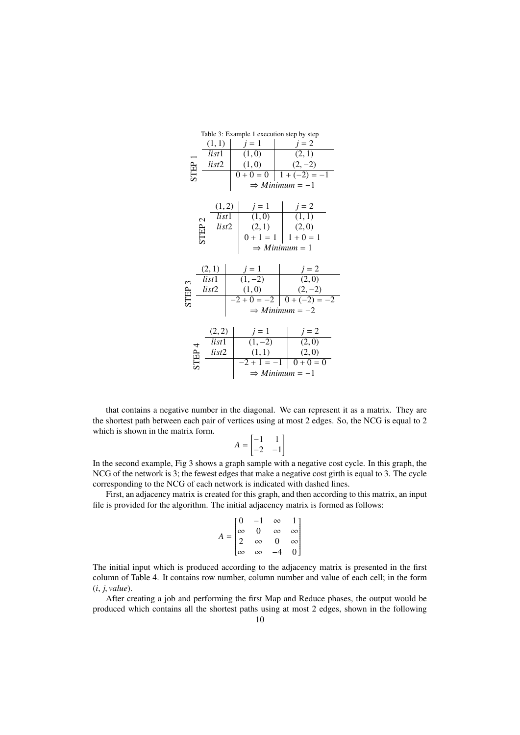|                            |                       |  | Table 3: Example 1 execution step by step |  |                            |  |
|----------------------------|-----------------------|--|-------------------------------------------|--|----------------------------|--|
|                            | (1,1)                 |  | $j=1$                                     |  | $j=2$                      |  |
|                            | list1                 |  | (1,0)                                     |  | (2, 1)                     |  |
| STEP <sup>-</sup><br>list2 |                       |  | (1,0)                                     |  | $(2,-2)$                   |  |
|                            |                       |  | $0 + 0 = 0$                               |  | $\boxed{1 + (-2) = -1}$    |  |
|                            |                       |  |                                           |  | $\Rightarrow$ Minimum = -1 |  |
|                            |                       |  |                                           |  |                            |  |
|                            | (1, 2)                |  | $j = 1$<br>(1,0)                          |  | $j = 2$<br>(1, 1)          |  |
|                            | list1<br>$\mathbf{C}$ |  |                                           |  |                            |  |
|                            | list2                 |  | (2,1)                                     |  | (2,0)                      |  |
|                            | STEP                  |  | $0 + 1 = 1$                               |  | $1+0=1$                    |  |
|                            |                       |  | $\Rightarrow$ Minimum = 1                 |  |                            |  |
|                            |                       |  |                                           |  |                            |  |
|                            | (2,1)<br>list1        |  | $j = 1$<br>(1, -2)                        |  | $j = 2$<br>(2,0)           |  |
|                            |                       |  |                                           |  |                            |  |
| STEP <sub>3</sub>          | list2                 |  | (1,0)                                     |  | $(2,-2)$                   |  |
|                            |                       |  |                                           |  | $-2+0=-2$ 0 + $(-2) = -2$  |  |
|                            |                       |  |                                           |  | $\Rightarrow$ Minimum = -2 |  |
|                            |                       |  |                                           |  |                            |  |
|                            | (2, 2)                |  | $j = 1$<br>(1, -2)                        |  | $j = 2$<br>(2,0)           |  |
| list1<br>STEP <sub>4</sub> |                       |  |                                           |  |                            |  |
|                            | list2                 |  | (1, 1)                                    |  | (2,0)                      |  |
|                            |                       |  | $-2 + 1 = -1$                             |  | $0 + 0 = 0$                |  |
|                            |                       |  |                                           |  | $\Rightarrow$ Minimum = -1 |  |

that contains a negative number in the diagonal. We can represent it as a matrix. They are the shortest path between each pair of vertices using at most 2 edges. So, the NCG is equal to 2 which is shown in the matrix form.

$$
A = \begin{bmatrix} -1 & 1 \\ -2 & -1 \end{bmatrix}
$$

In the second example, Fig 3 shows a graph sample with a negative cost cycle. In this graph, the NCG of the network is 3; the fewest edges that make a negative cost girth is equal to 3. The cycle corresponding to the NCG of each network is indicated with dashed lines.

First, an adjacency matrix is created for this graph, and then according to this matrix, an input file is provided for the algorithm. The initial adjacency matrix is formed as follows:

$$
A = \begin{bmatrix} 0 & -1 & \infty & 1 \\ \infty & 0 & \infty & \infty \\ 2 & \infty & 0 & \infty \\ \infty & \infty & -4 & 0 \end{bmatrix}
$$

The initial input which is produced according to the adjacency matrix is presented in the first column of Table 4. It contains row number, column number and value of each cell; in the form (*i*, *<sup>j</sup>*, *value*).

After creating a job and performing the first Map and Reduce phases, the output would be produced which contains all the shortest paths using at most 2 edges, shown in the following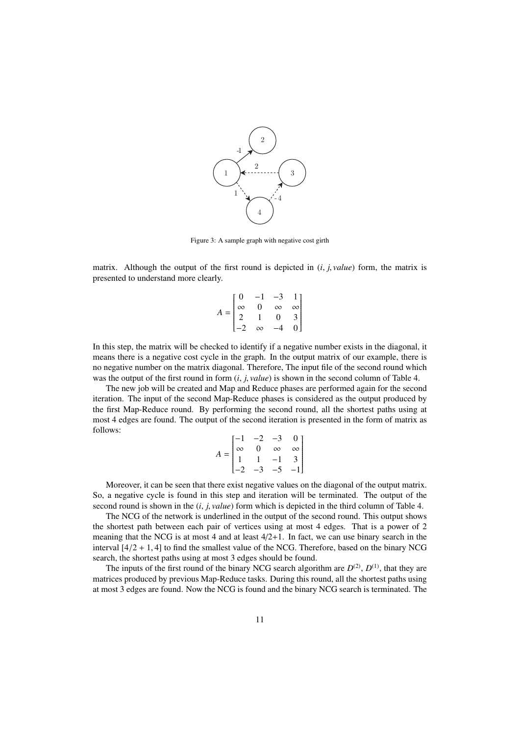

Figure 3: A sample graph with negative cost girth

matrix. Although the output of the first round is depicted in (*i*, *<sup>j</sup>*, *value*) form, the matrix is presented to understand more clearly.

$$
A = \begin{bmatrix} 0 & -1 & -3 & 1 \\ \infty & 0 & \infty & \infty \\ 2 & 1 & 0 & 3 \\ -2 & \infty & -4 & 0 \end{bmatrix}
$$

In this step, the matrix will be checked to identify if a negative number exists in the diagonal, it means there is a negative cost cycle in the graph. In the output matrix of our example, there is no negative number on the matrix diagonal. Therefore, The input file of the second round which was the output of the first round in form (*i*, *<sup>j</sup>*, *value*) is shown in the second column of Table 4.

The new job will be created and Map and Reduce phases are performed again for the second iteration. The input of the second Map-Reduce phases is considered as the output produced by the first Map-Reduce round. By performing the second round, all the shortest paths using at most 4 edges are found. The output of the second iteration is presented in the form of matrix as follows:

|                          |          | -2 |          | $\boldsymbol{0}$                     |
|--------------------------|----------|----|----------|--------------------------------------|
| $\overline{\phantom{a}}$ | $\infty$ | 0  | $\infty$ | $\overline{\phantom{a}}$<br>$\infty$ |
|                          |          |    |          | $\overline{3}$                       |
|                          |          | -3 | –∋       | $\mathsf{l}$                         |

Moreover, it can be seen that there exist negative values on the diagonal of the output matrix. So, a negative cycle is found in this step and iteration will be terminated. The output of the second round is shown in the (*i*, *<sup>j</sup>*, *value*) form which is depicted in the third column of Table 4.

The NCG of the network is underlined in the output of the second round. This output shows the shortest path between each pair of vertices using at most 4 edges. That is a power of 2 meaning that the NCG is at most 4 and at least  $4/2+1$ . In fact, we can use binary search in the interval  $[4/2 + 1, 4]$  to find the smallest value of the NCG. Therefore, based on the binary NCG search, the shortest paths using at most 3 edges should be found.

The inputs of the first round of the binary NCG search algorithm are  $D^{(2)}$ ,  $D^{(1)}$ , that they are matrices produced by previous Map-Reduce tasks. During this round, all the shortest paths using at most 3 edges are found. Now the NCG is found and the binary NCG search is terminated. The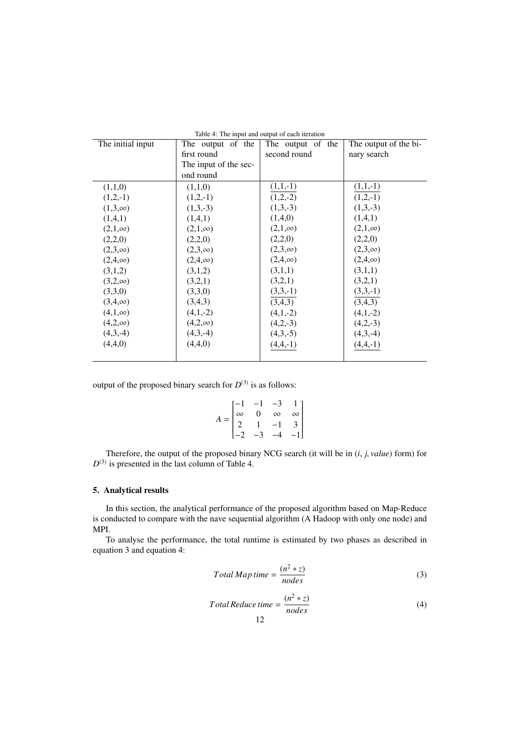| The initial input | The output of the     | The output of the | The output of the bi- |
|-------------------|-----------------------|-------------------|-----------------------|
|                   | first round           | second round      | nary search           |
|                   | The input of the sec- |                   |                       |
|                   | ond round             |                   |                       |
| (1,1,0)           | (1,1,0)               | $(1,1,-1)$        | $(1,1,-1)$            |
| $(1,2,-1)$        | $(1,2,-1)$            | $(1,2,-2)$        | $(1,2,-1)$            |
| $(1,3,\infty)$    | $(1,3,-3)$            | $(1,3,-3)$        | $(1,3,-3)$            |
| (1,4,1)           | (1,4,1)               | (1,4,0)           | (1,4,1)               |
| $(2,1,\infty)$    | $(2,1,\infty)$        | $(2,1,\infty)$    | $(2,1,\infty)$        |
| (2,2,0)           | (2,2,0)               | (2,2,0)           | (2,2,0)               |
| $(2,3,\infty)$    | $(2,3,\infty)$        | $(2,3,\infty)$    | $(2,3,\infty)$        |
| $(2,4,\infty)$    | $(2,4,\infty)$        | $(2,4,\infty)$    | $(2,4,\infty)$        |
| (3,1,2)           | (3,1,2)               | (3,1,1)           | (3,1,1)               |
| $(3,2,\infty)$    | (3,2,1)               | (3,2,1)           | (3,2,1)               |
| (3,3,0)           | (3,3,0)               | $(3,3,-1)$        | $(3,3,-1)$            |
| $(3,4,\infty)$    | (3,4,3)               | (3,4,3)           | (3,4,3)               |
| $(4,1,\infty)$    | $(4,1,-2)$            | $(4,1,-2)$        | $(4,1,-2)$            |
| $(4,2,\infty)$    | $(4,2,\infty)$        | $(4,2,-3)$        | $(4,2,-3)$            |
| $(4,3,-4)$        | $(4,3,-4)$            | $(4,3,-5)$        | $(4,3,-4)$            |
| (4,4,0)           | (4,4,0)               | $(4,4,-1)$        | $(4,4,-1)$            |
|                   |                       |                   |                       |

|  |  | Table 4: The input and output of each iteration |  |  |
|--|--|-------------------------------------------------|--|--|
|--|--|-------------------------------------------------|--|--|

output of the proposed binary search for  $D^{(3)}$  is as follows:

$$
A = \begin{bmatrix} -1 & -1 & -3 & 1 \\ \infty & 0 & \infty & \infty \\ 2 & 1 & -1 & 3 \\ -2 & -3 & -4 & -1 \end{bmatrix}
$$

Therefore, the output of the proposed binary NCG search (it will be in (*i*, *<sup>j</sup>*, *value*) form) for  $D^{(3)}$  is presented in the last column of Table 4.

# 5. Analytical results

In this section, the analytical performance of the proposed algorithm based on Map-Reduce is conducted to compare with the nave sequential algorithm (A Hadoop with only one node) and MPI.

To analyse the performance, the total runtime is estimated by two phases as described in equation 3 and equation 4:

$$
Total Map time = \frac{(n^2 * z)}{nodes}
$$
\n(3)

$$
Total Reduce time = \frac{(n^2 * z)}{nodes}
$$
 (4)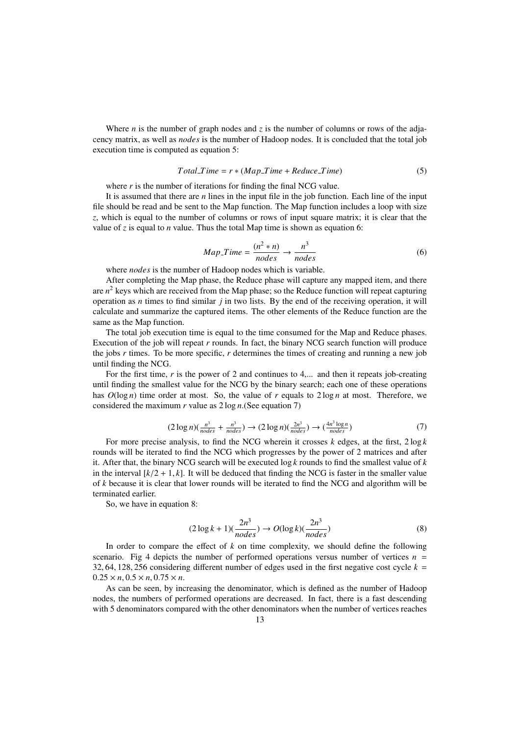Where *n* is the number of graph nodes and  $z$  is the number of columns or rows of the adjacency matrix, as well as *nodes* is the number of Hadoop nodes. It is concluded that the total job execution time is computed as equation 5:

$$
TotalTime = r * (MapTime + ReduceTime)
$$
 (5)

where  $r$  is the number of iterations for finding the final NCG value.

It is assumed that there are *n* lines in the input file in the job function. Each line of the input file should be read and be sent to the Map function. The Map function includes a loop with size z, which is equal to the number of columns or rows of input square matrix; it is clear that the value of *z* is equal to *n* value. Thus the total Map time is shown as equation 6:

$$
Map\_Time = \frac{(n^2 * n)}{nodes} \rightarrow \frac{n^3}{nodes}
$$
 (6)

where *nodes* is the number of Hadoop nodes which is variable.

After completing the Map phase, the Reduce phase will capture any mapped item, and there are *n* <sup>2</sup> keys which are received from the Map phase; so the Reduce function will repeat capturing operation as *n* times to find similar *j* in two lists. By the end of the receiving operation, it will calculate and summarize the captured items. The other elements of the Reduce function are the same as the Map function.

The total job execution time is equal to the time consumed for the Map and Reduce phases. Execution of the job will repeat *r* rounds. In fact, the binary NCG search function will produce the jobs *r* times. To be more specific, *r* determines the times of creating and running a new job until finding the NCG.

For the first time, r is the power of 2 and continues to 4,... and then it repeats job-creating until finding the smallest value for the NCG by the binary search; each one of these operations has  $O(\log n)$  time order at most. So, the value of *r* equals to  $2 \log n$  at most. Therefore, we considered the maximum *r* value as 2 log *n*.(See equation 7)

$$
(2\log n)(\frac{n^3}{nodes} + \frac{n^3}{nodes}) \to (2\log n)(\frac{2n^3}{nodes}) \to (\frac{4n^3\log n}{nodes})
$$
\n<sup>(7)</sup>

For more precise analysis, to find the NCG wherein it crosses *k* edges, at the first, 2 log *k* rounds will be iterated to find the NCG which progresses by the power of 2 matrices and after it. After that, the binary NCG search will be executed log *k* rounds to find the smallest value of *k* in the interval  $[k/2 + 1, k]$ . It will be deduced that finding the NCG is faster in the smaller value of *k* because it is clear that lower rounds will be iterated to find the NCG and algorithm will be terminated earlier.

So, we have in equation 8:

$$
(2\log k + 1)\left(\frac{2n^3}{nodes}\right) \to O(\log k)\left(\frac{2n^3}{nodes}\right) \tag{8}
$$

In order to compare the effect of *k* on time complexity, we should define the following scenario. Fig 4 depicts the number of performed operations versus number of vertices  $n =$ 32, 64, 128, 256 considering different number of edges used in the first negative cost cycle  $k =$  $0.25 \times n, 0.5 \times n, 0.75 \times n$ .

As can be seen, by increasing the denominator, which is defined as the number of Hadoop nodes, the numbers of performed operations are decreased. In fact, there is a fast descending with 5 denominators compared with the other denominators when the number of vertices reaches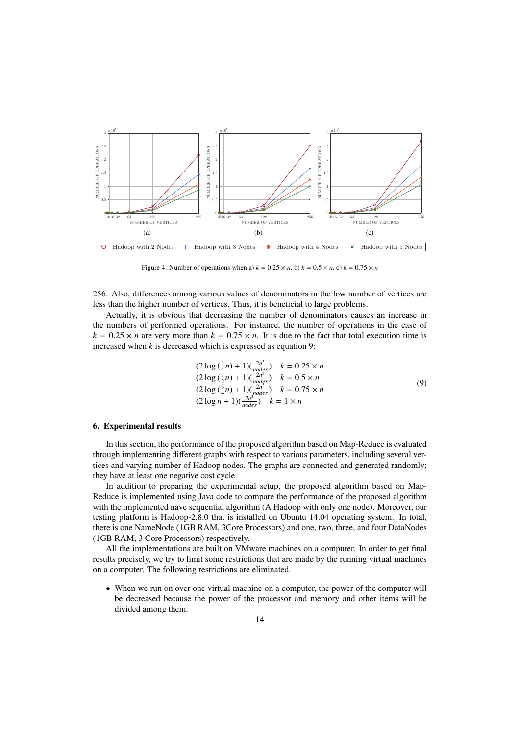

Figure 4: Number of operations when a)  $k = 0.25 \times n$ , b)  $k = 0.5 \times n$ , c)  $k = 0.75 \times n$ 

256. Also, differences among various values of denominators in the low number of vertices are less than the higher number of vertices. Thus, it is beneficial to large problems.

Actually, it is obvious that decreasing the number of denominators causes an increase in the numbers of performed operations. For instance, the number of operations in the case of  $k = 0.25 \times n$  are very more than  $k = 0.75 \times n$ . It is due to the fact that total execution time is increased when *k* is decreased which is expressed as equation 9:

$$
(2 \log(\frac{1}{4}n) + 1)(\frac{2n^3}{nodes}) \quad k = 0.25 \times n
$$
  
\n
$$
(2 \log(\frac{1}{2}n) + 1)(\frac{2n^3}{nodes}) \quad k = 0.5 \times n
$$
  
\n
$$
(2 \log(\frac{3}{4}n) + 1)(\frac{2n^3}{nodes}) \quad k = 0.75 \times n
$$
  
\n
$$
(2 \log n + 1)(\frac{2n^3}{nodes}) \quad k = 1 \times n
$$
  
\n(9)

## 6. Experimental results

In this section, the performance of the proposed algorithm based on Map-Reduce is evaluated through implementing different graphs with respect to various parameters, including several vertices and varying number of Hadoop nodes. The graphs are connected and generated randomly; they have at least one negative cost cycle.

In addition to preparing the experimental setup, the proposed algorithm based on Map-Reduce is implemented using Java code to compare the performance of the proposed algorithm with the implemented nave sequential algorithm (A Hadoop with only one node). Moreover, our testing platform is Hadoop-2.8.0 that is installed on Ubuntu 14.04 operating system. In total, there is one NameNode (1GB RAM, 3Core Processors) and one, two, three, and four DataNodes (1GB RAM, 3 Core Processors) respectively.

All the implementations are built on VMware machines on a computer. In order to get final results precisely, we try to limit some restrictions that are made by the running virtual machines on a computer. The following restrictions are eliminated.

• When we run on over one virtual machine on a computer, the power of the computer will be decreased because the power of the processor and memory and other items will be divided among them.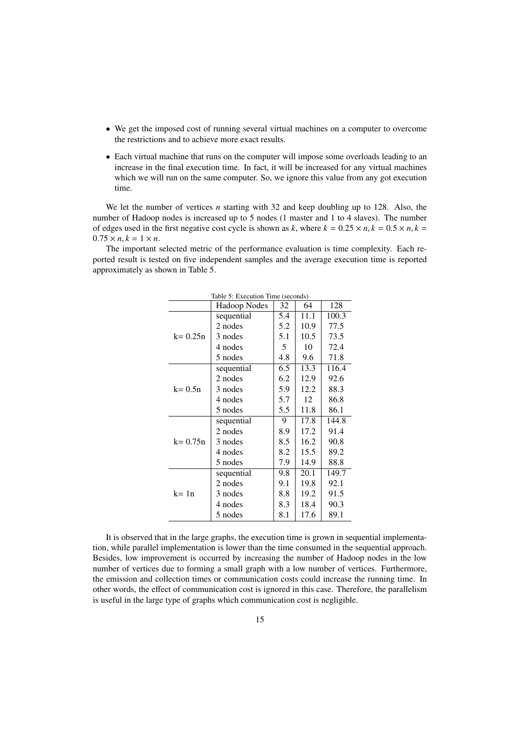- We get the imposed cost of running several virtual machines on a computer to overcome the restrictions and to achieve more exact results.
- Each virtual machine that runs on the computer will impose some overloads leading to an increase in the final execution time. In fact, it will be increased for any virtual machines which we will run on the same computer. So, we ignore this value from any got execution time.

We let the number of vertices *n* starting with 32 and keep doubling up to 128. Also, the number of Hadoop nodes is increased up to 5 nodes (1 master and 1 to 4 slaves). The number of edges used in the first negative cost cycle is shown as *k*, where  $k = 0.25 \times n, k = 0.5 \times n, k =$  $0.75 \times n, k = 1 \times n$ .

The important selected metric of the performance evaluation is time complexity. Each reported result is tested on five independent samples and the average execution time is reported approximately as shown in Table 5.

| Table 5: Execution Time (seconds) |                     |     |                   |       |
|-----------------------------------|---------------------|-----|-------------------|-------|
|                                   | <b>Hadoop Nodes</b> | 32  | 64                | 128   |
|                                   | sequential          | 5.4 | 11.1              | 100.3 |
|                                   | 2 nodes             | 5.2 | 10.9              | 77.5  |
| $k = 0.25n$                       | 3 nodes             | 5.1 | 10.5              | 73.5  |
|                                   | 4 nodes             | 5   | 10                | 72.4  |
|                                   | 5 nodes             | 4.8 | 9.6               | 71.8  |
|                                   | sequential          | 6.5 | 13.3              | 116.4 |
|                                   | 2 nodes             | 6.2 | 12.9              | 92.6  |
| $k = 0.5n$                        | 3 nodes             | 5.9 | 12.2              | 88.3  |
|                                   | 4 nodes             | 5.7 | 12                | 86.8  |
|                                   | 5 nodes             | 5.5 | 11.8              | 86.1  |
|                                   | sequential          | 9   | 17.8              | 144.8 |
|                                   | 2 nodes             | 8.9 | 17.2              | 91.4  |
| $k = 0.75n$                       | 3 nodes             | 8.5 | 16.2              | 90.8  |
|                                   | 4 nodes             | 8.2 | 15.5              | 89.2  |
|                                   | 5 nodes             | 7.9 | 14.9              | 88.8  |
|                                   | sequential          | 9.8 | $20.\overline{1}$ | 149.7 |
|                                   | 2 nodes             | 9.1 | 19.8              | 92.1  |
| $k = 1n$                          | 3 nodes             | 8.8 | 19.2              | 91.5  |
|                                   | 4 nodes             | 8.3 | 18.4              | 90.3  |
|                                   | 5 nodes             | 8.1 | 17.6              | 89.1  |

It is observed that in the large graphs, the execution time is grown in sequential implementation, while parallel implementation is lower than the time consumed in the sequential approach. Besides, low improvement is occurred by increasing the number of Hadoop nodes in the low number of vertices due to forming a small graph with a low number of vertices. Furthermore, the emission and collection times or communication costs could increase the running time. In other words, the effect of communication cost is ignored in this case. Therefore, the parallelism is useful in the large type of graphs which communication cost is negligible.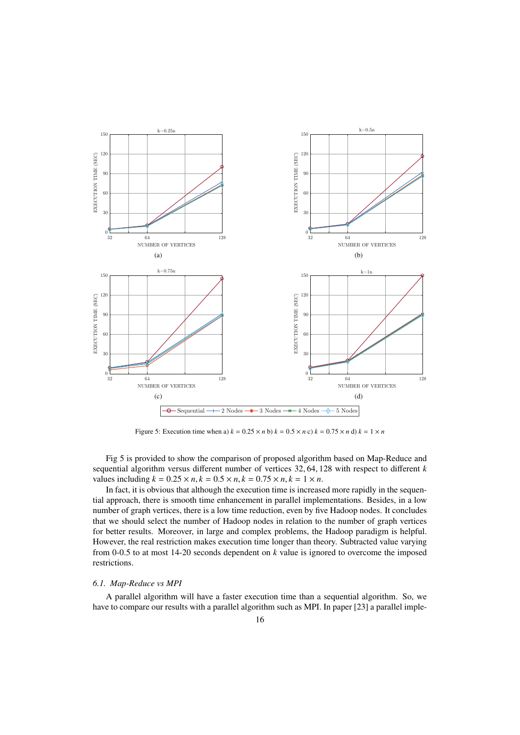

Figure 5: Execution time when a)  $k = 0.25 \times n$  b)  $k = 0.5 \times n$  c)  $k = 0.75 \times n$  d)  $k = 1 \times n$ 

Fig 5 is provided to show the comparison of proposed algorithm based on Map-Reduce and sequential algorithm versus different number of vertices 32, <sup>64</sup>, 128 with respect to different *<sup>k</sup>* values including  $k = 0.25 \times n, k = 0.5 \times n, k = 0.75 \times n, k = 1 \times n$ .

In fact, it is obvious that although the execution time is increased more rapidly in the sequential approach, there is smooth time enhancement in parallel implementations. Besides, in a low number of graph vertices, there is a low time reduction, even by five Hadoop nodes. It concludes that we should select the number of Hadoop nodes in relation to the number of graph vertices for better results. Moreover, in large and complex problems, the Hadoop paradigm is helpful. However, the real restriction makes execution time longer than theory. Subtracted value varying from 0-0.5 to at most 14-20 seconds dependent on *k* value is ignored to overcome the imposed restrictions.

# *6.1. Map-Reduce vs MPI*

A parallel algorithm will have a faster execution time than a sequential algorithm. So, we have to compare our results with a parallel algorithm such as MPI. In paper [23] a parallel imple-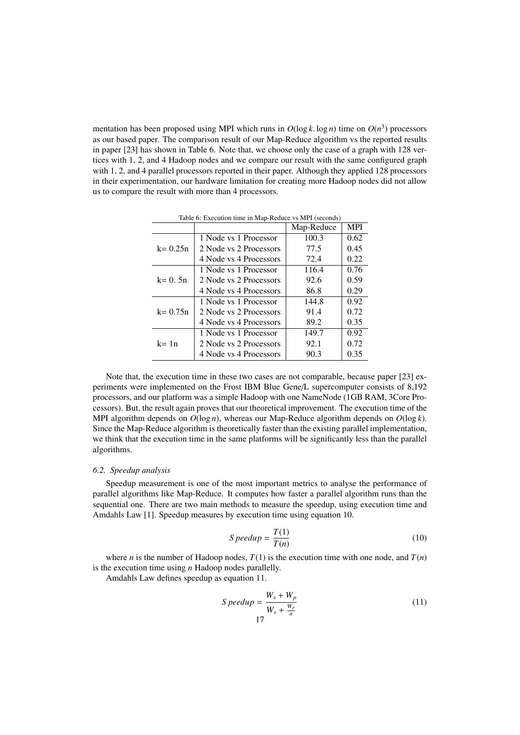mentation has been proposed using MPI which runs in  $O(\log k \cdot \log n)$  time on  $O(n^3)$  processors<br>as our based paper. The comparison result of our Man-Reduce algorithm vs the reported results as our based paper. The comparison result of our Map-Reduce algorithm vs the reported results in paper [23] has shown in Table 6. Note that, we choose only the case of a graph with 128 vertices with 1, 2, and 4 Hadoop nodes and we compare our result with the same configured graph with 1, 2, and 4 parallel processors reported in their paper. Although they applied 128 processors in their experimentation, our hardware limitation for creating more Hadoop nodes did not allow us to compare the result with more than 4 processors.

|             |                        | Map-Reduce | <b>MPI</b> |
|-------------|------------------------|------------|------------|
|             | 1 Node vs 1 Processor  | 100.3      | 0.62       |
| $k = 0.25n$ | 2 Node vs 2 Processors | 77.5       | 0.45       |
|             | 4 Node vs 4 Processors | 72.4       | 0.22       |
|             | 1 Node vs 1 Processor  | 116.4      | 0.76       |
| $k = 0.5n$  | 2 Node vs 2 Processors | 92.6       | 0.59       |
|             | 4 Node vs 4 Processors | 86.8       | 0.29       |
|             | 1 Node vs 1 Processor  | 144.8      | 0.92       |
| $k = 0.75n$ | 2 Node vs 2 Processors | 91.4       | 0.72       |
|             | 4 Node vs 4 Processors | 89.2       | 0.35       |
| $k = 1n$    | 1 Node vs 1 Processor  | 149.7      | 0.92       |
|             | 2 Node vs 2 Processors | 92.1       | 0.72       |
|             | 4 Node vs 4 Processors | 90.3       | 0.35       |

Table 6: Execution time in Map-Reduce vs MPI (seconds)

Note that, the execution time in these two cases are not comparable, because paper [23] experiments were implemented on the Frost IBM Blue Gene/L supercomputer consists of 8,192 processors, and our platform was a simple Hadoop with one NameNode (1GB RAM, 3Core Processors). But, the result again proves that our theoretical improvement. The execution time of the MPI algorithm depends on *O*(log *n*), whereas our Map-Reduce algorithm depends on *O*(log *k*). Since the Map-Reduce algorithm is theoretically faster than the existing parallel implementation, we think that the execution time in the same platforms will be significantly less than the parallel algorithms.

#### *6.2. Speedup analysis*

Speedup measurement is one of the most important metrics to analyse the performance of parallel algorithms like Map-Reduce. It computes how faster a parallel algorithm runs than the sequential one. There are two main methods to measure the speedup, using execution time and Amdahls Law [1]. Speedup measures by execution time using equation 10.

$$
Speedup = \frac{T(1)}{T(n)}\tag{10}
$$

where *n* is the number of Hadoop nodes,  $T(1)$  is the execution time with one node, and  $T(n)$ is the execution time using *n* Hadoop nodes parallelly.

Amdahls Law defines speedup as equation 11.

$$
Speedup = \frac{W_s + W_p}{W_s + \frac{W_p}{n}}
$$
\n<sup>(11)</sup>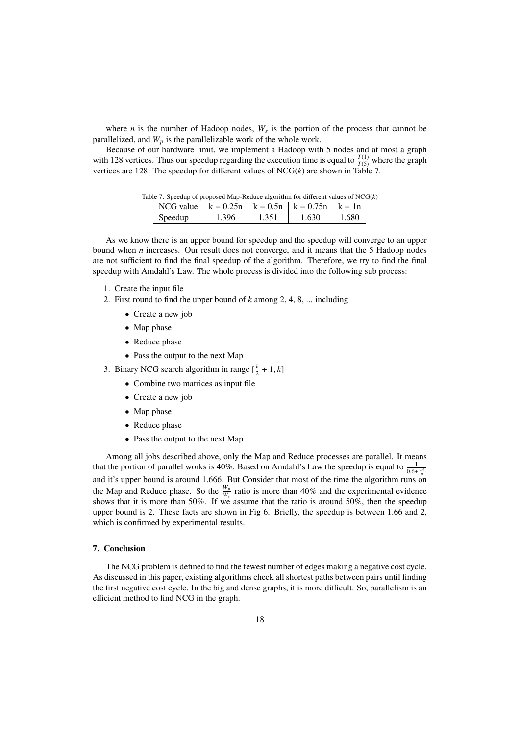where  $n$  is the number of Hadoop nodes,  $W_s$  is the portion of the process that cannot be parallelized, and  $W_p$  is the parallelizable work of the whole work.

Because of our hardware limit, we implement a Hadoop with 5 nodes and at most a graph with 128 vertices. Thus our speedup regarding the execution time is equal to  $\frac{T(1)}{T(5)}$  where the graph vertices are 128. The speedup for different values of  $NCG(k)$  are shown in Table 7.

| Table 7: Speedup of proposed Map-Reduce algorithm for different values of $NCG(k)$ |       |       |       |          |  |
|------------------------------------------------------------------------------------|-------|-------|-------|----------|--|
| NCG value $  k = 0.25n   k = 0.5n   k = 0.75n   k = 1n$                            |       |       |       |          |  |
| Speedup                                                                            | 1.396 | 1.351 | 1.630 | $-1.680$ |  |

As we know there is an upper bound for speedup and the speedup will converge to an upper bound when *n* increases. Our result does not converge, and it means that the 5 Hadoop nodes are not sufficient to find the final speedup of the algorithm. Therefore, we try to find the final speedup with Amdahl's Law. The whole process is divided into the following sub process:

- 1. Create the input file
- 2. First round to find the upper bound of *k* among 2, 4, 8, ... including
	- Create a new job
	- Map phase
	- Reduce phase
	- Pass the output to the next Map
- 3. Binary NCG search algorithm in range  $\left[\frac{k}{2} + 1, k\right]$ 
	- Combine two matrices as input file
	- Create a new job
	- Map phase
	- Reduce phase
	- Pass the output to the next Map

Among all jobs described above, only the Map and Reduce processes are parallel. It means that the portion of parallel works is 40%. Based on Amdahl's Law the speedup is equal to  $\frac{1}{0.6 + \frac{0.4}{n}}$ and it's upper bound is around 1.666. But Consider that most of the time the algorithm runs on<br>and it's upper bound is around 1.666. But Consider that most of the time the algorithm runs on the Map and Reduce phase. So the  $\frac{W_p}{W_s}$  ratio is more than 40% and the experimental evidence shows that it is more than 50%. If we assume that the ratio is around 50%, then the speedup upper bound is 2. These facts are shown in Fig 6. Briefly, the speedup is between 1.66 and 2, which is confirmed by experimental results.

## 7. Conclusion

The NCG problem is defined to find the fewest number of edges making a negative cost cycle. As discussed in this paper, existing algorithms check all shortest paths between pairs until finding the first negative cost cycle. In the big and dense graphs, it is more difficult. So, parallelism is an efficient method to find NCG in the graph.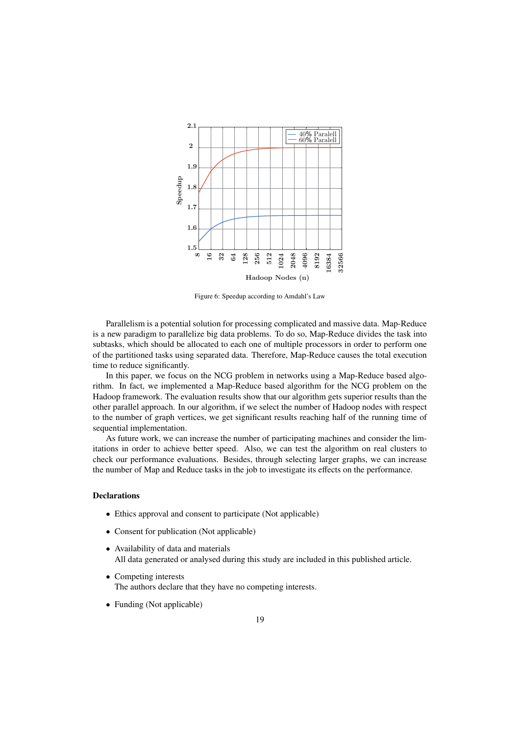

Figure 6: Speedup according to Amdahl's Law

Parallelism is a potential solution for processing complicated and massive data. Map-Reduce is a new paradigm to parallelize big data problems. To do so, Map-Reduce divides the task into subtasks, which should be allocated to each one of multiple processors in order to perform one of the partitioned tasks using separated data. Therefore, Map-Reduce causes the total execution time to reduce significantly.

In this paper, we focus on the NCG problem in networks using a Map-Reduce based algorithm. In fact, we implemented a Map-Reduce based algorithm for the NCG problem on the Hadoop framework. The evaluation results show that our algorithm gets superior results than the other parallel approach. In our algorithm, if we select the number of Hadoop nodes with respect to the number of graph vertices, we get significant results reaching half of the running time of sequential implementation.

As future work, we can increase the number of participating machines and consider the limitations in order to achieve better speed. Also, we can test the algorithm on real clusters to check our performance evaluations. Besides, through selecting larger graphs, we can increase the number of Map and Reduce tasks in the job to investigate its effects on the performance.

### **Declarations**

- Ethics approval and consent to participate (Not applicable)
- Consent for publication (Not applicable)
- Availability of data and materials All data generated or analysed during this study are included in this published article.
- Competing interests The authors declare that they have no competing interests.
- Funding (Not applicable)